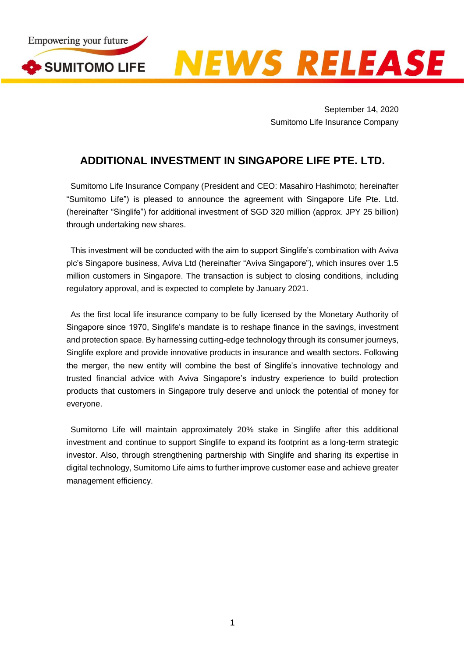

**EWS RELEASE** 

September 14, 2020 Sumitomo Life Insurance Company

## **ADDITIONAL INVESTMENT IN SINGAPORE LIFE PTE. LTD.**

Sumitomo Life Insurance Company (President and CEO: Masahiro Hashimoto; hereinafter "Sumitomo Life") is pleased to announce the agreement with Singapore Life Pte. Ltd. (hereinafter "Singlife") for additional investment of SGD 320 million (approx. JPY 25 billion) through undertaking new shares.

This investment will be conducted with the aim to support Singlife's combination with Aviva plc's Singapore business, Aviva Ltd (hereinafter "Aviva Singapore"), which insures over 1.5 million customers in Singapore. The transaction is subject to closing conditions, including regulatory approval, and is expected to complete by January 2021.

As the first local life insurance company to be fully licensed by the Monetary Authority of Singapore since 1970, Singlife's mandate is to reshape finance in the savings, investment and protection space. By harnessing cutting-edge technology through its consumer journeys, Singlife explore and provide innovative products in insurance and wealth sectors. Following the merger, the new entity will combine the best of Singlife's innovative technology and trusted financial advice with Aviva Singapore's industry experience to build protection products that customers in Singapore truly deserve and unlock the potential of money for everyone.

Sumitomo Life will maintain approximately 20% stake in Singlife after this additional investment and continue to support Singlife to expand its footprint as a long-term strategic investor. Also, through strengthening partnership with Singlife and sharing its expertise in digital technology, Sumitomo Life aims to further improve customer ease and achieve greater management efficiency.